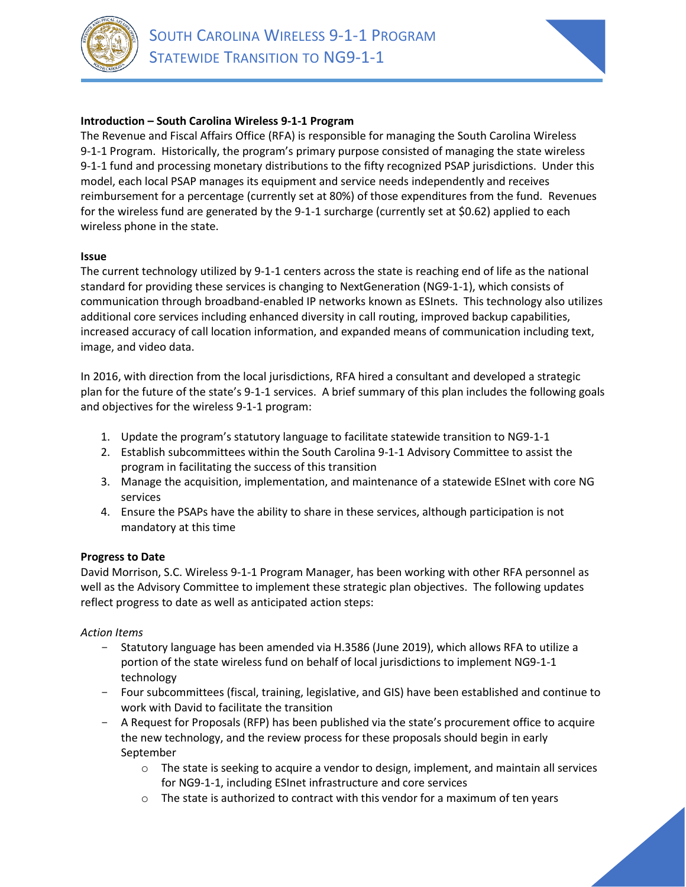

 $\mathbb{E} \left[ \mathbb{E} \left[ \mathbb{E} \left[ \mathbb{E} \left[ \mathbb{E} \left[ \mathbb{E} \left[ \mathbb{E} \left[ \mathbb{E} \left[ \mathbb{E} \left[ \mathbb{E} \left[ \mathbb{E} \left[ \mathbb{E} \left[ \mathbb{E} \left[ \mathbb{E} \left[ \mathbb{E} \left[ \mathbb{E} \left[ \mathbb{E} \left[ \mathbb{E} \left[ \mathbb{E} \left[ \mathbb{E} \left[ \mathbb{E} \left[ \mathbb{E} \left[ \mathbb{E} \left[ \mathbb{E} \left[ \mathbb{$ 



# **Introduction – South Carolina Wireless 9-1-1 Program**

The Revenue and Fiscal Affairs Office (RFA) is responsible for managing the South Carolina Wireless 9-1-1 Program. Historically, the program's primary purpose consisted of managing the state wireless 9-1-1 fund and processing monetary distributions to the fifty recognized PSAP jurisdictions. Under this model, each local PSAP manages its equipment and service needs independently and receives reimbursement for a percentage (currently set at 80%) of those expenditures from the fund. Revenues for the wireless fund are generated by the 9-1-1 surcharge (currently set at \$0.62) applied to each wireless phone in the state.

## **Issue**

The current technology utilized by 9-1-1 centers across the state is reaching end of life as the national standard for providing these services is changing to NextGeneration (NG9-1-1), which consists of communication through broadband-enabled IP networks known as ESInets. This technology also utilizes additional core services including enhanced diversity in call routing, improved backup capabilities, increased accuracy of call location information, and expanded means of communication including text, image, and video data.

In 2016, with direction from the local jurisdictions, RFA hired a consultant and developed a strategic plan for the future of the state's 9-1-1 services. A brief summary of this plan includes the following goals and objectives for the wireless 9-1-1 program:

- 1. Update the program's statutory language to facilitate statewide transition to NG9-1-1
- 2. Establish subcommittees within the South Carolina 9-1-1 Advisory Committee to assist the program in facilitating the success of this transition
- 3. Manage the acquisition, implementation, and maintenance of a statewide ESInet with core NG services
- 4. Ensure the PSAPs have the ability to share in these services, although participation is not mandatory at this time

## **Progress to Date**

David Morrison, S.C. Wireless 9-1-1 Program Manager, has been working with other RFA personnel as well as the Advisory Committee to implement these strategic plan objectives. The following updates reflect progress to date as well as anticipated action steps:

## *Action Items*

- Statutory language has been amended via H.3586 (June 2019), which allows RFA to utilize a portion of the state wireless fund on behalf of local jurisdictions to implement NG9-1-1 technology
- Four subcommittees (fiscal, training, legislative, and GIS) have been established and continue to work with David to facilitate the transition
- A Request for Proposals (RFP) has been published via the state's procurement office to acquire the new technology, and the review process for these proposals should begin in early September
	- $\circ$  The state is seeking to acquire a vendor to design, implement, and maintain all services for NG9-1-1, including ESInet infrastructure and core services
	- $\circ$  The state is authorized to contract with this vendor for a maximum of ten years